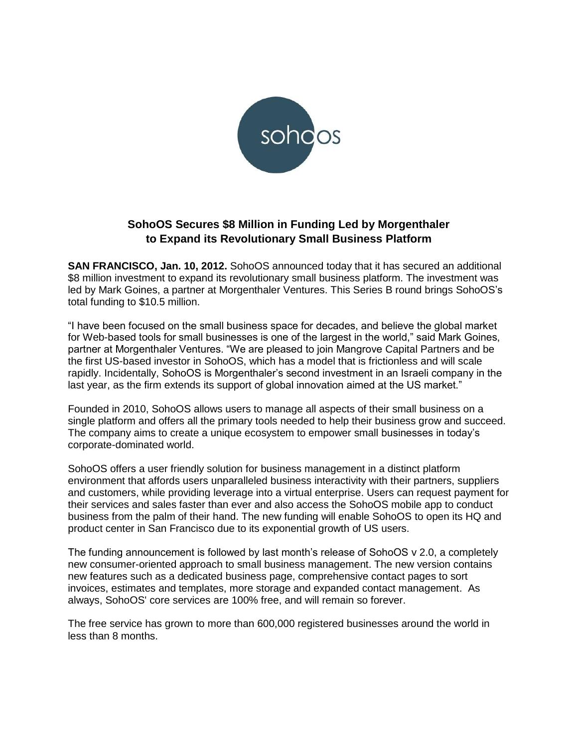

# **SohoOS Secures \$8 Million in Funding Led by Morgenthaler to Expand its Revolutionary Small Business Platform**

**SAN FRANCISCO, Jan. 10, 2012.** SohoOS announced today that it has secured an additional \$8 million investment to expand its revolutionary small business platform. The investment was led by Mark Goines, a partner at Morgenthaler Ventures. This Series B round brings SohoOS's total funding to \$10.5 million.

"I have been focused on the small business space for decades, and believe the global market for Web-based tools for small businesses is one of the largest in the world," said Mark Goines, partner at Morgenthaler Ventures. "We are pleased to join Mangrove Capital Partners and be the first US-based investor in SohoOS, which has a model that is frictionless and will scale rapidly. Incidentally, SohoOS is Morgenthaler's second investment in an Israeli company in the last year, as the firm extends its support of global innovation aimed at the US market."

Founded in 2010, SohoOS allows users to manage all aspects of their small business on a single platform and offers all the primary tools needed to help their business grow and succeed. The company aims to create a unique ecosystem to empower small businesses in today's corporate-dominated world.

SohoOS offers a user friendly solution for business management in a distinct platform environment that affords users unparalleled business interactivity with their partners, suppliers and customers, while providing leverage into a virtual enterprise. Users can request payment for their services and sales faster than ever and also access the SohoOS mobile app to conduct business from the palm of their hand. The new funding will enable SohoOS to open its HQ and product center in San Francisco due to its exponential growth of US users.

The funding announcement is followed by last month's release of SohoOS v 2.0, a completely new consumer-oriented approach to small business management. The new version contains new features such as a dedicated business page, comprehensive contact pages to sort invoices, estimates and templates, more storage and expanded contact management. As always, SohoOS' core services are 100% free, and will remain so forever.

The free service has grown to more than 600,000 registered businesses around the world in less than 8 months.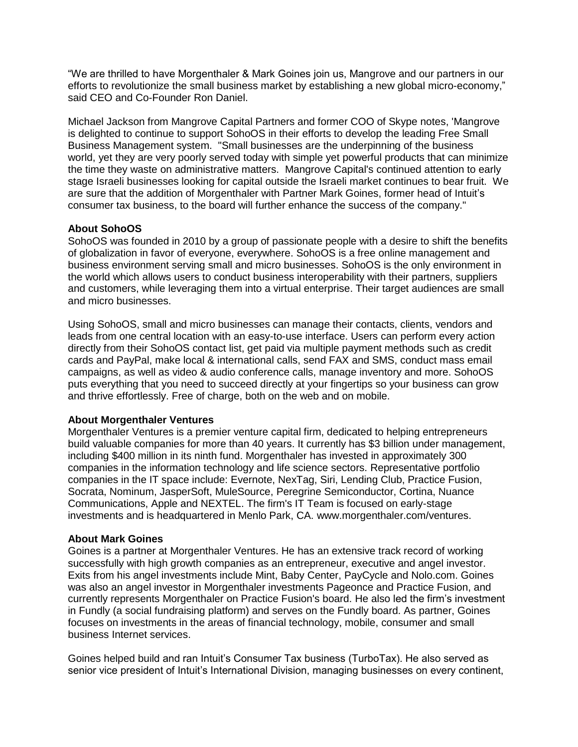"We are thrilled to have Morgenthaler & Mark Goines join us, Mangrove and our partners in our efforts to revolutionize the small business market by establishing a new global micro-economy," said CEO and Co-Founder Ron Daniel.

Michael Jackson from Mangrove Capital Partners and former COO of Skype notes, 'Mangrove is delighted to continue to support SohoOS in their efforts to develop the leading Free Small Business Management system. "Small businesses are the underpinning of the business world, yet they are very poorly served today with simple yet powerful products that can minimize the time they waste on administrative matters. Mangrove Capital's continued attention to early stage Israeli businesses looking for capital outside the Israeli market continues to bear fruit. We are sure that the addition of Morgenthaler with Partner Mark Goines, former head of Intuit's consumer tax business, to the board will further enhance the success of the company."

## **About SohoOS**

SohoOS was founded in 2010 by a group of passionate people with a desire to shift the benefits of globalization in favor of everyone, everywhere. SohoOS is a free online management and business environment serving small and micro businesses. SohoOS is the only environment in the world which allows users to conduct business interoperability with their partners, suppliers and customers, while leveraging them into a virtual enterprise. Their target audiences are small and micro businesses.

Using SohoOS, small and micro businesses can manage their contacts, clients, vendors and leads from one central location with an easy-to-use interface. Users can perform every action directly from their SohoOS contact list, get paid via multiple payment methods such as credit cards and PayPal, make local & international calls, send FAX and SMS, conduct mass email campaigns, as well as video & audio conference calls, manage inventory and more. SohoOS puts everything that you need to succeed directly at your fingertips so your business can grow and thrive effortlessly. Free of charge, both on the web and on mobile.

## **About Morgenthaler Ventures**

Morgenthaler Ventures is a premier venture capital firm, dedicated to helping entrepreneurs build valuable companies for more than 40 years. It currently has \$3 billion under management, including \$400 million in its ninth fund. Morgenthaler has invested in approximately 300 companies in the information technology and life science sectors. Representative portfolio companies in the IT space include: Evernote, NexTag, Siri, Lending Club, Practice Fusion, Socrata, Nominum, JasperSoft, MuleSource, Peregrine Semiconductor, Cortina, Nuance Communications, Apple and NEXTEL. The firm's IT Team is focused on early-stage investments and is headquartered in Menlo Park, CA. www.morgenthaler.com/ventures.

## **About Mark Goines**

Goines is a partner at Morgenthaler Ventures. He has an extensive track record of working successfully with high growth companies as an entrepreneur, executive and angel investor. Exits from his angel investments include Mint, Baby Center, PayCycle and Nolo.com. Goines was also an angel investor in Morgenthaler investments Pageonce and Practice Fusion, and currently represents Morgenthaler on Practice Fusion's board. He also led the firm's investment in Fundly (a social fundraising platform) and serves on the Fundly board. As partner, Goines focuses on investments in the areas of financial technology, mobile, consumer and small business Internet services.

Goines helped build and ran Intuit's Consumer Tax business (TurboTax). He also served as senior vice president of Intuit's International Division, managing businesses on every continent,